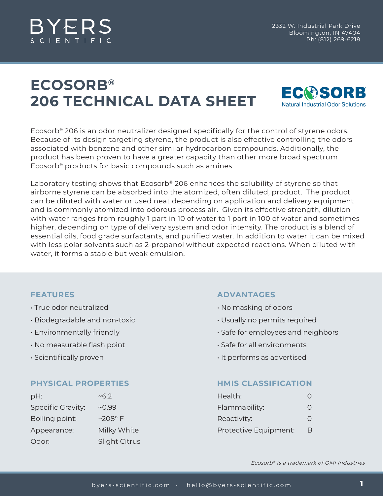

## **ECOSORB® 206 TECHNICAL DATA SHEET**



Ecosorb® 206 is an odor neutralizer designed specifically for the control of styrene odors. Because of its design targeting styrene, the product is also effective controlling the odors associated with benzene and other similar hydrocarbon compounds. Additionally, the product has been proven to have a greater capacity than other more broad spectrum Ecosorb® products for basic compounds such as amines.

Laboratory testing shows that Ecosorb® 206 enhances the solubility of styrene so that airborne styrene can be absorbed into the atomized, often diluted, product. The product can be diluted with water or used neat depending on application and delivery equipment and is commonly atomized into odorous process air. Given its effective strength, dilution with water ranges from roughly 1 part in 10 of water to 1 part in 100 of water and sometimes higher, depending on type of delivery system and odor intensity. The product is a blend of essential oils, food grade surfactants, and purified water. In addition to water it can be mixed with less polar solvents such as 2-propanol without expected reactions. When diluted with water, it forms a stable but weak emulsion.

## **FEATURES**

- True odor neutralized
- Biodegradable and non-toxic
- Environmentally friendly
- No measurable flash point
- Scientifically proven

#### **PHYSICAL PROPERTIES**

| pH:                      | ~100           |
|--------------------------|----------------|
| <b>Specific Gravity:</b> | ~10.99         |
| Boiling point:           | $~208^\circ$ F |
| Appearance:              | Milky White    |
| Odor:                    | Slight Citrus  |

## **ADVANTAGES**

- No masking of odors
- Usually no permits required
- Safe for employees and neighbors
- Safe for all environments
- It performs as advertised

#### **HMIS CLASSIFICATION**

| Health:               |           |
|-----------------------|-----------|
| Flammability:         | $\bigcap$ |
| Reactivity:           | $\bigcap$ |
| Protective Equipment: | R         |

Ecosorb® is a trademark of OMI Industries